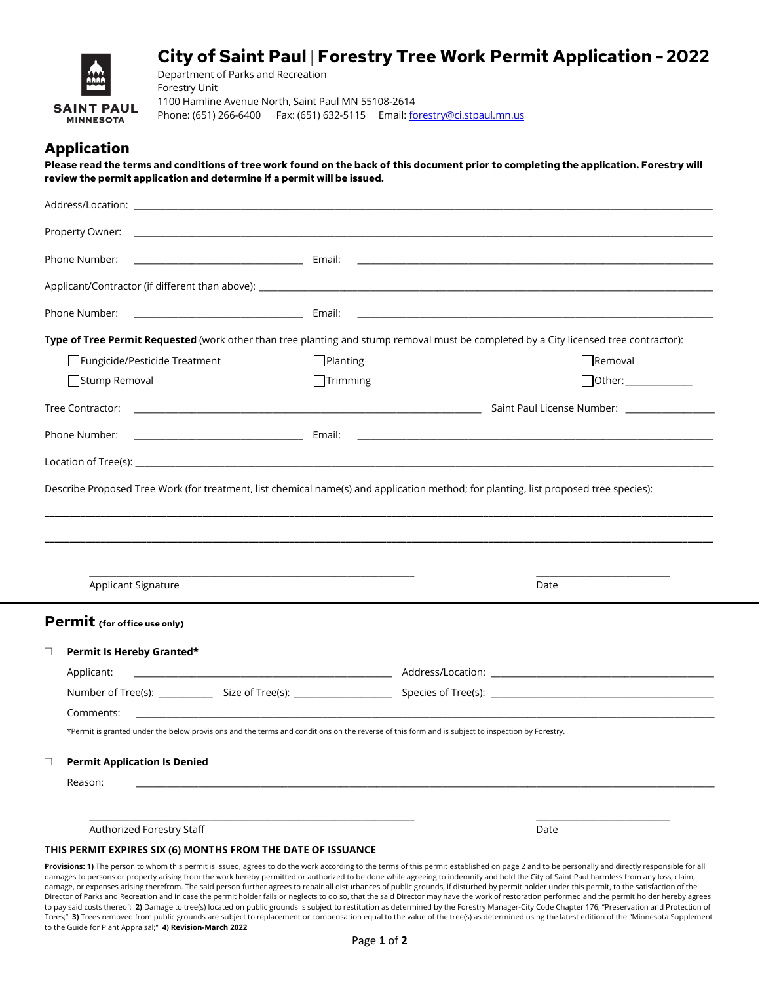# **City of Saint Paul Forestry Tree Work Permit Application -2022**



Department of Parks and Recreation Forestry Unit 1100 Hamline Avenue North, Saint Paul MN 55108-2614 Phone: (651) 266-6400 Fax: (651) 632-5115 Email: <u>forestry@ci.stpaul.mn.us</u>

# **Application**

**Please read the terms and conditions of tree work found on the back of this document prior to completing the application. Forestry will review the permit application and determine if a permit will be issued.** 

| Phone Number:                                                                                                                                                                                                         |                                                                                                                  |                 |                                                                                                                                                  |
|-----------------------------------------------------------------------------------------------------------------------------------------------------------------------------------------------------------------------|------------------------------------------------------------------------------------------------------------------|-----------------|--------------------------------------------------------------------------------------------------------------------------------------------------|
|                                                                                                                                                                                                                       |                                                                                                                  |                 |                                                                                                                                                  |
| Phone Number:                                                                                                                                                                                                         | in the contract of the contract of the Britain Books and the Britain Books and the Britain Books and the Britain |                 |                                                                                                                                                  |
|                                                                                                                                                                                                                       |                                                                                                                  |                 | Type of Tree Permit Requested (work other than tree planting and stump removal must be completed by a City licensed tree contractor):            |
| Fungicide/Pesticide Treatment                                                                                                                                                                                         |                                                                                                                  | $\Box$ Planting | Removal                                                                                                                                          |
| Stump Removal                                                                                                                                                                                                         |                                                                                                                  | $\Box$ Trimming |                                                                                                                                                  |
|                                                                                                                                                                                                                       |                                                                                                                  |                 |                                                                                                                                                  |
| Phone Number:                                                                                                                                                                                                         |                                                                                                                  |                 |                                                                                                                                                  |
|                                                                                                                                                                                                                       |                                                                                                                  |                 |                                                                                                                                                  |
|                                                                                                                                                                                                                       |                                                                                                                  |                 |                                                                                                                                                  |
| Applicant Signature                                                                                                                                                                                                   |                                                                                                                  |                 | Date                                                                                                                                             |
|                                                                                                                                                                                                                       |                                                                                                                  |                 |                                                                                                                                                  |
|                                                                                                                                                                                                                       |                                                                                                                  |                 |                                                                                                                                                  |
| Permit Is Hereby Granted*                                                                                                                                                                                             |                                                                                                                  |                 |                                                                                                                                                  |
| Applicant:                                                                                                                                                                                                            |                                                                                                                  |                 |                                                                                                                                                  |
| Comments:                                                                                                                                                                                                             |                                                                                                                  |                 |                                                                                                                                                  |
|                                                                                                                                                                                                                       |                                                                                                                  |                 | *Permit is granted under the below provisions and the terms and conditions on the reverse of this form and is subject to inspection by Forestry. |
| <b>Permit Application Is Denied</b>                                                                                                                                                                                   |                                                                                                                  |                 |                                                                                                                                                  |
| Reason:                                                                                                                                                                                                               |                                                                                                                  |                 |                                                                                                                                                  |
|                                                                                                                                                                                                                       |                                                                                                                  |                 |                                                                                                                                                  |
| Describe Proposed Tree Work (for treatment, list chemical name(s) and application method; for planting, list proposed tree species):<br>Permit (for office use only)<br>$\Box$<br>$\Box$<br>Authorized Forestry Staff |                                                                                                                  |                 | Date                                                                                                                                             |

damages to persons or property arising from the work hereby permitted or authorized to be done while agreeing to indemnify and hold the City of Saint Paul harmless from any loss, claim, damage, or expenses arising therefrom. The said person further agrees to repair all disturbances of public grounds, if disturbed by permit holder under this permit, to the satisfaction of the Director of Parks and Recreation and in case the permit holder fails or neglects to do so, that the said Director may have the work of restoration performed and the permit holder hereby agrees to pay said costs thereof; **2)** Damage to tree(s) located on public grounds is subject to restitution as determined by the Forestry Manager-City Code Chapter 176, "Preservation and Protection of Trees;" **3)** Trees removed from public grounds are subject to replacement or compensation equal to the value of the tree(s) as determined using the latest edition of the "Minnesota Supplement to the Guide for Plant Appraisal;" **4) Revision-March 2022**